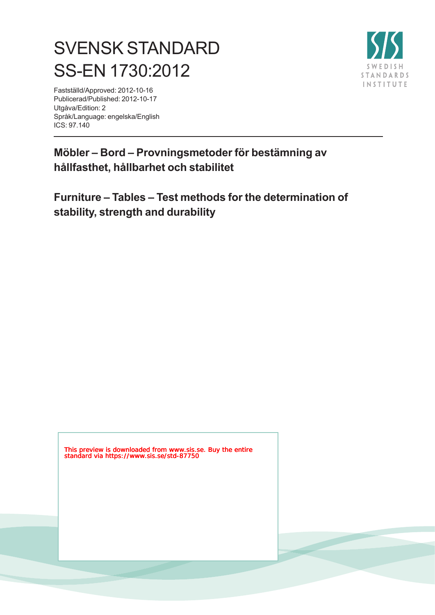# SVENSK STANDARD SS-EN 1730:2012



Fastställd/Approved: 2012-10-16 Publicerad/Published: 2012-10-17 Utgåva/Edition: 2 Språk/Language: engelska/English ICS: 97.140

## **Möbler – Bord – Provningsmetoder för bestämning av hållfasthet, hållbarhet och stabilitet**

**Furniture – Tables – Test methods for the determination of stability, strength and durability**

This preview is downloaded from www.sis.se. Buy the entire standard via https://www.sis.se/std-87750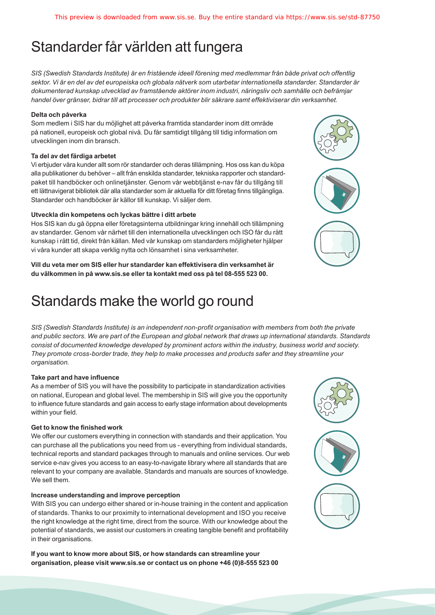## Standarder får världen att fungera

*SIS (Swedish Standards Institute) är en fristående ideell förening med medlemmar från både privat och offentlig sektor. Vi är en del av det europeiska och globala nätverk som utarbetar internationella standarder. Standarder är dokumenterad kunskap utvecklad av framstående aktörer inom industri, näringsliv och samhälle och befrämjar handel över gränser, bidrar till att processer och produkter blir säkrare samt effektiviserar din verksamhet.* 

#### **Delta och påverka**

Som medlem i SIS har du möjlighet att påverka framtida standarder inom ditt område på nationell, europeisk och global nivå. Du får samtidigt tillgång till tidig information om utvecklingen inom din bransch.

#### **Ta del av det färdiga arbetet**

Vi erbjuder våra kunder allt som rör standarder och deras tillämpning. Hos oss kan du köpa alla publikationer du behöver – allt från enskilda standarder, tekniska rapporter och standardpaket till handböcker och onlinetjänster. Genom vår webbtjänst e-nav får du tillgång till ett lättnavigerat bibliotek där alla standarder som är aktuella för ditt företag finns tillgängliga. Standarder och handböcker är källor till kunskap. Vi säljer dem.

#### **Utveckla din kompetens och lyckas bättre i ditt arbete**

Hos SIS kan du gå öppna eller företagsinterna utbildningar kring innehåll och tillämpning av standarder. Genom vår närhet till den internationella utvecklingen och ISO får du rätt kunskap i rätt tid, direkt från källan. Med vår kunskap om standarders möjligheter hjälper vi våra kunder att skapa verklig nytta och lönsamhet i sina verksamheter.

**Vill du veta mer om SIS eller hur standarder kan effektivisera din verksamhet är du välkommen in på www.sis.se eller ta kontakt med oss på tel 08-555 523 00.**

## Standards make the world go round

*SIS (Swedish Standards Institute) is an independent non-profit organisation with members from both the private and public sectors. We are part of the European and global network that draws up international standards. Standards consist of documented knowledge developed by prominent actors within the industry, business world and society. They promote cross-border trade, they help to make processes and products safer and they streamline your organisation.*

#### **Take part and have influence**

As a member of SIS you will have the possibility to participate in standardization activities on national, European and global level. The membership in SIS will give you the opportunity to influence future standards and gain access to early stage information about developments within your field.

#### **Get to know the finished work**

We offer our customers everything in connection with standards and their application. You can purchase all the publications you need from us - everything from individual standards, technical reports and standard packages through to manuals and online services. Our web service e-nav gives you access to an easy-to-navigate library where all standards that are relevant to your company are available. Standards and manuals are sources of knowledge. We sell them.

#### **Increase understanding and improve perception**

With SIS you can undergo either shared or in-house training in the content and application of standards. Thanks to our proximity to international development and ISO you receive the right knowledge at the right time, direct from the source. With our knowledge about the potential of standards, we assist our customers in creating tangible benefit and profitability in their organisations.

**If you want to know more about SIS, or how standards can streamline your organisation, please visit www.sis.se or contact us on phone +46 (0)8-555 523 00**



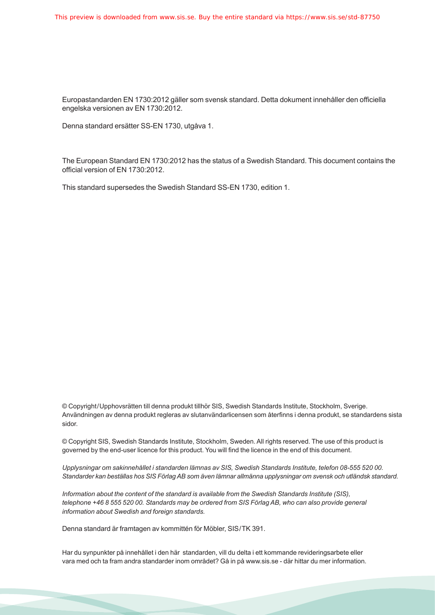Europastandarden EN 1730:2012 gäller som svensk standard. Detta dokument innehåller den officiella engelska versionen av EN 1730:2012.

Denna standard ersätter SS-EN 1730, utgåva 1.

The European Standard EN 1730:2012 has the status of a Swedish Standard. This document contains the official version of EN 1730:2012.

This standard supersedes the Swedish Standard SS-EN 1730, edition 1.

© Copyright / Upphovsrätten till denna produkt tillhör SIS, Swedish Standards Institute, Stockholm, Sverige. Användningen av denna produkt regleras av slutanvändarlicensen som återfinns i denna produkt, se standardens sista sidor.

© Copyright SIS, Swedish Standards Institute, Stockholm, Sweden. All rights reserved. The use of this product is governed by the end-user licence for this product. You will find the licence in the end of this document.

*Upplysningar om sakinnehållet i standarden lämnas av SIS, Swedish Standards Institute, telefon 08-555 520 00. Standarder kan beställas hos SIS Förlag AB som även lämnar allmänna upplysningar om svensk och utländsk standard.*

*Information about the content of the standard is available from the Swedish Standards Institute (SIS), telephone +46 8 555 520 00. Standards may be ordered from SIS Förlag AB, who can also provide general information about Swedish and foreign standards.*

Denna standard är framtagen av kommittén för Möbler, SIS / TK 391.

Har du synpunkter på innehållet i den här standarden, vill du delta i ett kommande revideringsarbete eller vara med och ta fram andra standarder inom området? Gå in på www.sis.se - där hittar du mer information.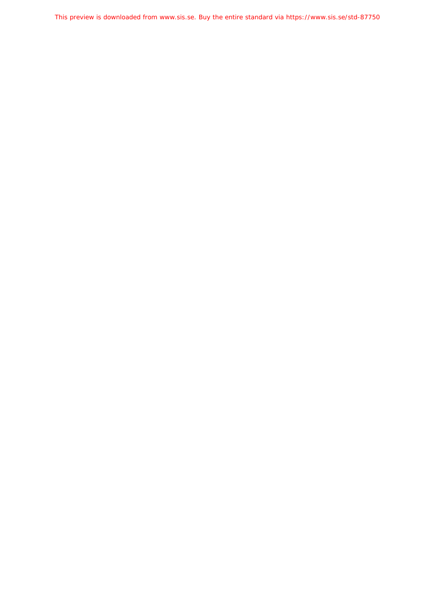This preview is downloaded from www.sis.se. Buy the entire standard via https://www.sis.se/std-87750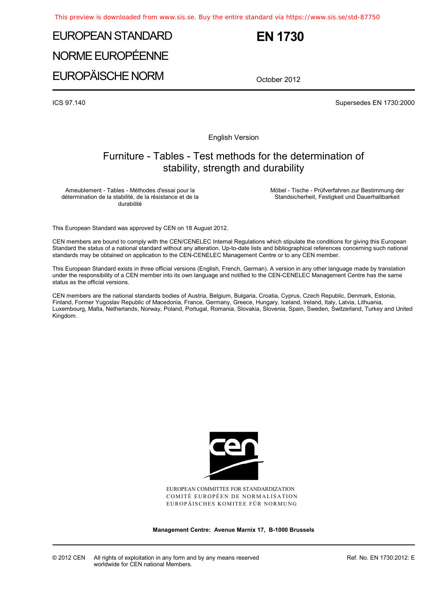## EUROPEAN STANDARD NORME EUROPÉENNE

## **EN 1730**

EUROPÄISCHE NORM

October 2012

ICS 97.140 Supersedes EN 1730:2000

English Version

### Furniture - Tables - Test methods for the determination of stability, strength and durability

Ameublement - Tables - Méthodes d'essai pour la détermination de la stabilité, de la résistance et de la durabilité

Möbel - Tische - Prüfverfahren zur Bestimmung der Standsicherheit, Festigkeit und Dauerhaltbarkeit

This European Standard was approved by CEN on 18 August 2012.

CEN members are bound to comply with the CEN/CENELEC Internal Regulations which stipulate the conditions for giving this European Standard the status of a national standard without any alteration. Up-to-date lists and bibliographical references concerning such national standards may be obtained on application to the CEN-CENELEC Management Centre or to any CEN member.

This European Standard exists in three official versions (English, French, German). A version in any other language made by translation under the responsibility of a CEN member into its own language and notified to the CEN-CENELEC Management Centre has the same status as the official versions.

CEN members are the national standards bodies of Austria, Belgium, Bulgaria, Croatia, Cyprus, Czech Republic, Denmark, Estonia, Finland, Former Yugoslav Republic of Macedonia, France, Germany, Greece, Hungary, Iceland, Ireland, Italy, Latvia, Lithuania, Luxembourg, Malta, Netherlands, Norway, Poland, Portugal, Romania, Slovakia, Slovenia, Spain, Sweden, Switzerland, Turkey and United Kingdom.



EUROPEAN COMMITTEE FOR STANDARDIZATION COMITÉ EUROPÉEN DE NORMALISATION EUROPÄISCHES KOMITEE FÜR NORMUNG

**Management Centre: Avenue Marnix 17, B-1000 Brussels**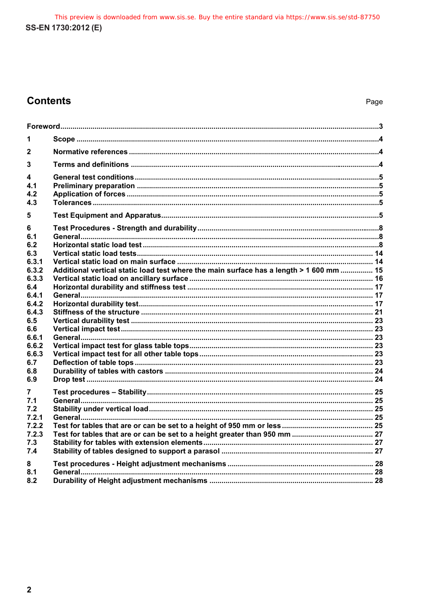This preview is downloaded from www.sis.se. Buy the entire standard via https://www.sis.se/std-87750 SS-EN 1730:2012 (E)

## **Contents**

| 1                                                                                                                                                 |                                                                                         |  |
|---------------------------------------------------------------------------------------------------------------------------------------------------|-----------------------------------------------------------------------------------------|--|
| $\mathbf{2}$                                                                                                                                      |                                                                                         |  |
| 3                                                                                                                                                 |                                                                                         |  |
| 4<br>4.1<br>4.2<br>4.3                                                                                                                            |                                                                                         |  |
| 5                                                                                                                                                 |                                                                                         |  |
| 6<br>6.1<br>6.2<br>6.3<br>6.3.1<br>6.3.2<br>6.3.3<br>6.4<br>6.4.1<br>6.4.2<br>6.4.3<br>6.5<br>6.6<br>6.6.1<br>6.6.2<br>6.6.3<br>6.7<br>6.8<br>6.9 | Additional vertical static load test where the main surface has a length > 1 600 mm  15 |  |
| 7<br>7.1<br>7.2<br>7.2.1<br>7.2.2<br>7.2.3<br>7.3<br>7.4<br>8                                                                                     |                                                                                         |  |
| 8.1<br>8.2                                                                                                                                        |                                                                                         |  |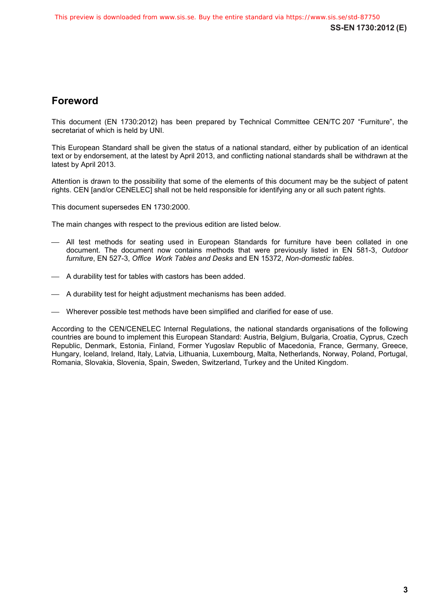## **Foreword**

This document (EN 1730:2012) has been prepared by Technical Committee CEN/TC 207 "Furniture", the secretariat of which is held by UNI.

This European Standard shall be given the status of a national standard, either by publication of an identical text or by endorsement, at the latest by April 2013, and conflicting national standards shall be withdrawn at the latest by April 2013.

Attention is drawn to the possibility that some of the elements of this document may be the subject of patent rights. CEN [and/or CENELEC] shall not be held responsible for identifying any or all such patent rights.

This document supersedes EN 1730:2000.

The main changes with respect to the previous edition are listed below.

- All test methods for seating used in European Standards for furniture have been collated in one document. The document now contains methods that were previously listed in EN 581-3, *Outdoor furniture*, EN 527-3, *Office Work Tables and Desks* and EN 15372, *Non-domestic tables*.
- A durability test for tables with castors has been added.
- A durability test for height adjustment mechanisms has been added.
- Wherever possible test methods have been simplified and clarified for ease of use.

According to the CEN/CENELEC Internal Regulations, the national standards organisations of the following countries are bound to implement this European Standard: Austria, Belgium, Bulgaria, Croatia, Cyprus, Czech Republic, Denmark, Estonia, Finland, Former Yugoslav Republic of Macedonia, France, Germany, Greece, Hungary, Iceland, Ireland, Italy, Latvia, Lithuania, Luxembourg, Malta, Netherlands, Norway, Poland, Portugal, Romania, Slovakia, Slovenia, Spain, Sweden, Switzerland, Turkey and the United Kingdom.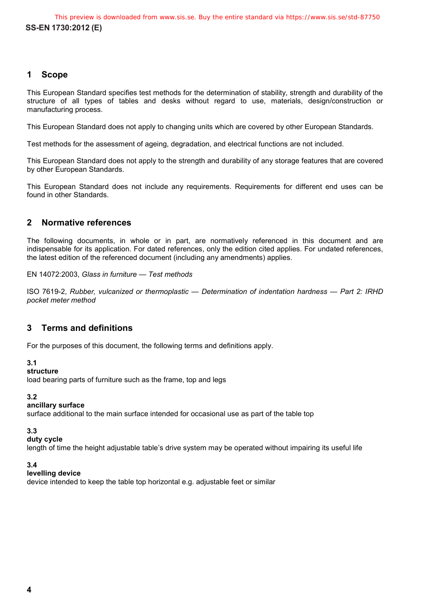#### **1 Scope**

This European Standard specifies test methods for the determination of stability, strength and durability of the structure of all types of tables and desks without regard to use, materials, design/construction or manufacturing process.

This European Standard does not apply to changing units which are covered by other European Standards.

Test methods for the assessment of ageing, degradation, and electrical functions are not included.

This European Standard does not apply to the strength and durability of any storage features that are covered by other European Standards.

This European Standard does not include any requirements. Requirements for different end uses can be found in other Standards.

#### **2 Normative references**

The following documents, in whole or in part, are normatively referenced in this document and are indispensable for its application. For dated references, only the edition cited applies. For undated references, the latest edition of the referenced document (including any amendments) applies.

#### EN 14072:2003, *Glass in furniture — Test methods*

ISO 7619-2, *Rubber, vulcanized or thermoplastic — Determination of indentation hardness — Part 2: IRHD pocket meter method*

#### **3 Terms and definitions**

For the purposes of this document, the following terms and definitions apply.

#### **3.1**

#### **structure**

load bearing parts of furniture such as the frame, top and legs

#### **3.2**

#### **ancillary surface**

surface additional to the main surface intended for occasional use as part of the table top

#### **3.3**

#### **duty cycle**

length of time the height adjustable table's drive system may be operated without impairing its useful life

#### **3.4**

**levelling device** 

device intended to keep the table top horizontal e.g. adjustable feet or similar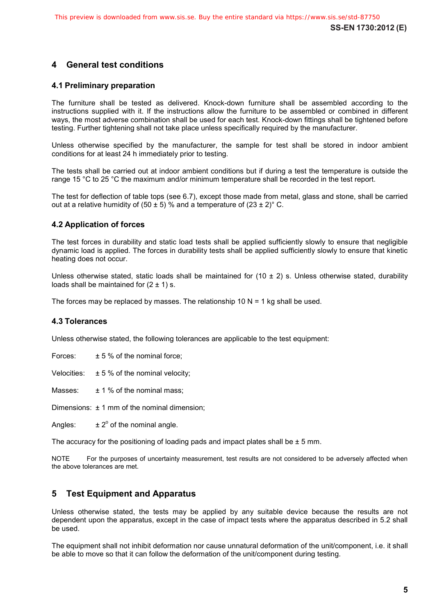### **4 General test conditions**

#### **4.1 Preliminary preparation**

The furniture shall be tested as delivered. Knock-down furniture shall be assembled according to the instructions supplied with it. If the instructions allow the furniture to be assembled or combined in different ways, the most adverse combination shall be used for each test. Knock-down fittings shall be tightened before testing. Further tightening shall not take place unless specifically required by the manufacturer.

Unless otherwise specified by the manufacturer, the sample for test shall be stored in indoor ambient conditions for at least 24 h immediately prior to testing.

The tests shall be carried out at indoor ambient conditions but if during a test the temperature is outside the range 15 °C to 25 °C the maximum and/or minimum temperature shall be recorded in the test report.

The test for deflection of table tops (see 6.7), except those made from metal, glass and stone, shall be carried out at a relative humidity of (50  $\pm$  5) % and a temperature of (23  $\pm$  2)° C.

#### **4.2 Application of forces**

The test forces in durability and static load tests shall be applied sufficiently slowly to ensure that negligible dynamic load is applied. The forces in durability tests shall be applied sufficiently slowly to ensure that kinetic heating does not occur.

Unless otherwise stated, static loads shall be maintained for  $(10 \pm 2)$  s. Unless otherwise stated, durability loads shall be maintained for  $(2 \pm 1)$  s.

The forces may be replaced by masses. The relationship  $10 N = 1$  kg shall be used.

#### **4.3 Tolerances**

Unless otherwise stated, the following tolerances are applicable to the test equipment:

Forces:  $\pm 5 \%$  of the nominal force;

Velocities:  $\pm 5 \%$  of the nominal velocity;

Masses:  $\pm 1 \%$  of the nominal mass;

Dimensions: ± 1 mm of the nominal dimension;

Angles:  $\pm$  2 $^{\circ}$  of the nominal angle.

The accuracy for the positioning of loading pads and impact plates shall be  $\pm$  5 mm.

NOTE For the purposes of uncertainty measurement, test results are not considered to be adversely affected when the above tolerances are met.

#### **5 Test Equipment and Apparatus**

Unless otherwise stated, the tests may be applied by any suitable device because the results are not dependent upon the apparatus, except in the case of impact tests where the apparatus described in 5.2 shall be used.

The equipment shall not inhibit deformation nor cause unnatural deformation of the unit/component, i.e. it shall be able to move so that it can follow the deformation of the unit/component during testing.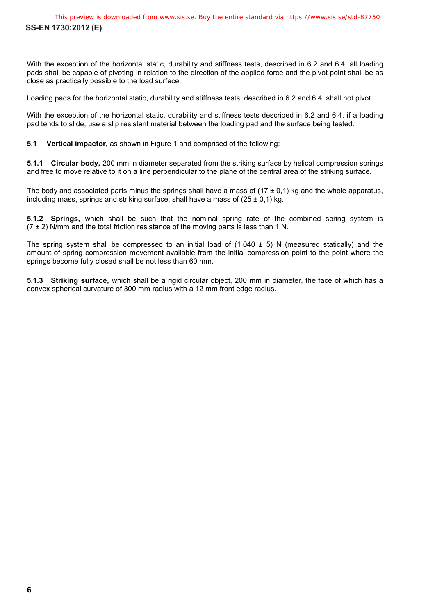With the exception of the horizontal static, durability and stiffness tests, described in 6.2 and 6.4, all loading pads shall be capable of pivoting in relation to the direction of the applied force and the pivot point shall be as close as practically possible to the load surface.

Loading pads for the horizontal static, durability and stiffness tests, described in 6.2 and 6.4, shall not pivot.

With the exception of the horizontal static, durability and stiffness tests described in 6.2 and 6.4, if a loading pad tends to slide, use a slip resistant material between the loading pad and the surface being tested.

**5.1 Vertical impactor,** as shown in Figure 1 and comprised of the following:

**5.1.1 Circular body,** 200 mm in diameter separated from the striking surface by helical compression springs and free to move relative to it on a line perpendicular to the plane of the central area of the striking surface.

The body and associated parts minus the springs shall have a mass of  $(17 \pm 0.1)$  kg and the whole apparatus, including mass, springs and striking surface, shall have a mass of  $(25 \pm 0.1)$  kg.

**5.1.2 Springs,** which shall be such that the nominal spring rate of the combined spring system is  $(7 \pm 2)$  N/mm and the total friction resistance of the moving parts is less than 1 N.

The spring system shall be compressed to an initial load of (1 040  $\pm$  5) N (measured statically) and the amount of spring compression movement available from the initial compression point to the point where the springs become fully closed shall be not less than 60 mm.

**5.1.3 Striking surface,** which shall be a rigid circular object, 200 mm in diameter, the face of which has a convex spherical curvature of 300 mm radius with a 12 mm front edge radius.